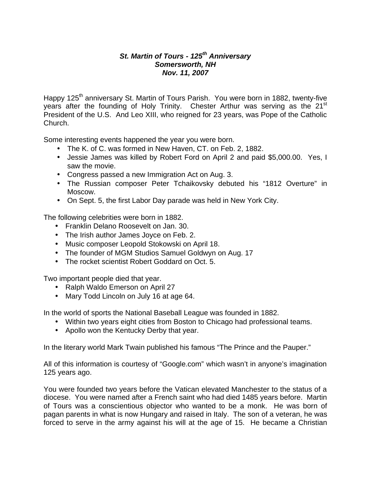## *St. Martin of Tours - 125th Anniversary Somersworth, NH Nov. 11, 2007*

Happy 125<sup>th</sup> anniversary St. Martin of Tours Parish. You were born in 1882, twenty-five years after the founding of Holy Trinity. Chester Arthur was serving as the 21<sup>st</sup> President of the U.S. And Leo XIII, who reigned for 23 years, was Pope of the Catholic Church.

Some interesting events happened the year you were born.

- The K. of C. was formed in New Haven, CT. on Feb. 2, 1882.
- Jessie James was killed by Robert Ford on April 2 and paid \$5,000.00. Yes, I saw the movie.
- Congress passed a new Immigration Act on Aug. 3.
- The Russian composer Peter Tchaikovsky debuted his "1812 Overture" in Moscow.
- On Sept. 5, the first Labor Day parade was held in New York City.

The following celebrities were born in 1882.

- Franklin Delano Roosevelt on Jan. 30.
- The Irish author James Joyce on Feb. 2.
- Music composer Leopold Stokowski on April 18.
- The founder of MGM Studios Samuel Goldwyn on Aug. 17
- The rocket scientist Robert Goddard on Oct. 5.

Two important people died that year.

- Ralph Waldo Emerson on April 27
- Mary Todd Lincoln on July 16 at age 64.

In the world of sports the National Baseball League was founded in 1882.

- Within two years eight cities from Boston to Chicago had professional teams.
- Apollo won the Kentucky Derby that year.

In the literary world Mark Twain published his famous "The Prince and the Pauper."

All of this information is courtesy of "Google.com" which wasn't in anyone's imagination 125 years ago.

You were founded two years before the Vatican elevated Manchester to the status of a diocese. You were named after a French saint who had died 1485 years before. Martin of Tours was a conscientious objector who wanted to be a monk. He was born of pagan parents in what is now Hungary and raised in Italy. The son of a veteran, he was forced to serve in the army against his will at the age of 15. He became a Christian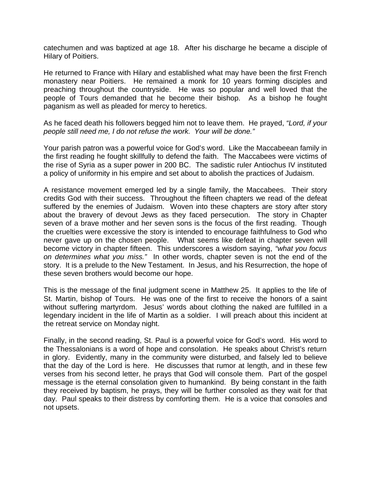catechumen and was baptized at age 18. After his discharge he became a disciple of Hilary of Poitiers.

He returned to France with Hilary and established what may have been the first French monastery near Poitiers. He remained a monk for 10 years forming disciples and preaching throughout the countryside. He was so popular and well loved that the people of Tours demanded that he become their bishop. As a bishop he fought paganism as well as pleaded for mercy to heretics.

As he faced death his followers begged him not to leave them. He prayed, *"Lord, if your people still need me, I do not refuse the work. Your will be done."*

Your parish patron was a powerful voice for God's word. Like the Maccabeean family in the first reading he fought skillfully to defend the faith. The Maccabees were victims of the rise of Syria as a super power in 200 BC. The sadistic ruler Antiochus IV instituted a policy of uniformity in his empire and set about to abolish the practices of Judaism.

A resistance movement emerged led by a single family, the Maccabees. Their story credits God with their success. Throughout the fifteen chapters we read of the defeat suffered by the enemies of Judaism. Woven into these chapters are story after story about the bravery of devout Jews as they faced persecution. The story in Chapter seven of a brave mother and her seven sons is the focus of the first reading. Though the cruelties were excessive the story is intended to encourage faithfulness to God who never gave up on the chosen people. What seems like defeat in chapter seven will become victory in chapter fifteen. This underscores a wisdom saying, *"what you focus on determines what you miss."* In other words, chapter seven is not the end of the story. It is a prelude to the New Testament. In Jesus, and his Resurrection, the hope of these seven brothers would become our hope.

This is the message of the final judgment scene in Matthew 25. It applies to the life of St. Martin, bishop of Tours. He was one of the first to receive the honors of a saint without suffering martyrdom. Jesus' words about clothing the naked are fulfilled in a legendary incident in the life of Martin as a soldier. I will preach about this incident at the retreat service on Monday night.

Finally, in the second reading, St. Paul is a powerful voice for God's word. His word to the Thessalonians is a word of hope and consolation. He speaks about Christ's return in glory. Evidently, many in the community were disturbed, and falsely led to believe that the day of the Lord is here. He discusses that rumor at length, and in these few verses from his second letter, he prays that God will console them. Part of the gospel message is the eternal consolation given to humankind. By being constant in the faith they received by baptism, he prays, they will be further consoled as they wait for that day. Paul speaks to their distress by comforting them. He is a voice that consoles and not upsets.